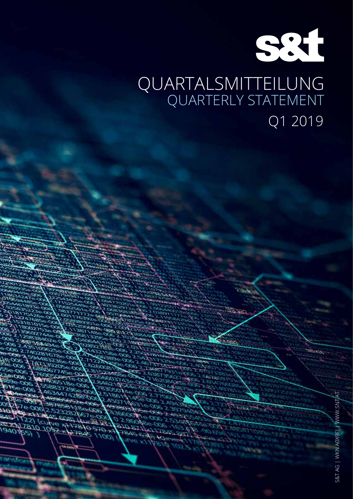

# QUARTALSMITTEILUNG QUARTERLY STATEMENT Q1 2019

 $252$ 

580.3.

יר כ ХOЄ Юť

 $22$ ) (curve

 $4473810$ 

امتحات

 $570 - 12$ 

 $\omega$ 

פנ

1940165101092

55)

УCУ Aе

OPEI

en.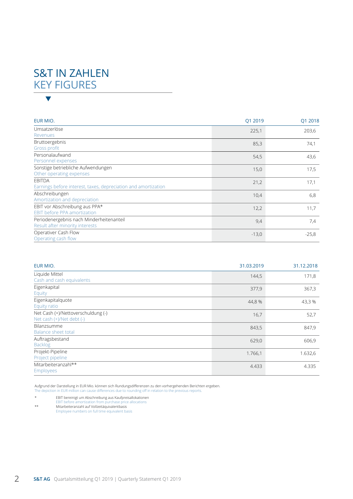# S&T IN ZAHLEN KEY FIGURES  $\blacktriangledown$

| EUR MIO.                                                                        | Q1 2019 | Q1 2018 |
|---------------------------------------------------------------------------------|---------|---------|
| Umsatzerlöse<br>Revenues                                                        | 225,1   | 203,6   |
| Bruttoergebnis<br>Gross profit                                                  | 85,3    | 74,1    |
| Personalaufwand<br>Personnel expenses                                           | 54,5    | 43,6    |
| Sonstige betriebliche Aufwendungen<br>Other operating expenses                  | 15,0    | 17,5    |
| <b>EBITDA</b><br>Earnings before interest, taxes, depreciation and amortization | 21,2    | 17,1    |
| Abschreibungen<br>Amortization and depreciation                                 | 10,4    | 6,8     |
| EBIT vor Abschreibung aus PPA*<br><b>EBIT before PPA amortization</b>           | 12,2    | 11,7    |
| Periodenergebnis nach Minderheitenanteil<br>Result after minority interests     | 9,4     | 7,4     |
| Operativer Cash Flow<br>Operating cash flow                                     | $-13,0$ | $-25,8$ |

| EUR MIO.                                                        | 31.03.2019 | 31.12.2018 |
|-----------------------------------------------------------------|------------|------------|
| Liquide Mittel<br>Cash and cash equivalents                     | 144,5      | 171,8      |
| Eigenkapital<br>Equity                                          | 377,9      | 367,3      |
| Eigenkapitalquote<br>Equity ratio                               | 44,8%      | 43,3%      |
| Net Cash (+)/Nettoverschuldung (-)<br>Net cash (+)/Net debt (-) | 16,7       | 52,7       |
| Bilanzsumme<br><b>Balance sheet total</b>                       | 843,5      | 847,9      |
| Auftragsbestand<br><b>Backlog</b>                               | 629,0      | 606,9      |
| Projekt-Pipeline<br>Project pipeline                            | 1.766,1    | 1.632,6    |
| Mitarbeiteranzahl**<br>Employees                                | 4.433      | 4.335      |

Aufgrund der Darstellung in EUR Mio. können sich Rundungsdifferenzen zu den vorhergehenden Berichten ergeben. The depiction in EUR million can cause differences due to rounding off in relation to the previous reports.

- \* EBIT bereinigt um Abschreibung aus Kaufpreisallokationen EBIT before amortization from purchase price allocations \*\* Mitarbeiteranzahl auf Vollzeitäquivalentbasis Employee numbers on full time equivalent basis
-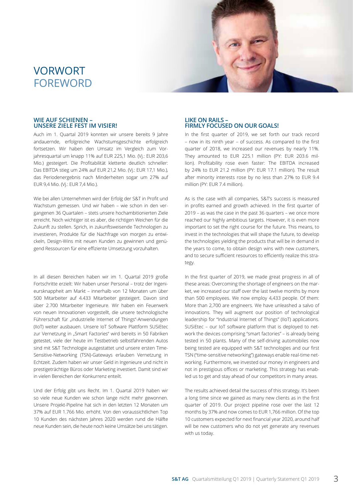# VORWORT FOREWORD



#### **WIE AUF SCHIENEN – UNSERE ZIELE FEST IM VISIER!**

Auch im 1. Quartal 2019 konnten wir unsere bereits 9 Jahre andauernde, erfolgreiche Wachstumsgeschichte erfolgreich fortsetzen. Wir haben den Umsatz im Vergleich zum Vorjahresquartal um knapp 11% auf EUR 225,1 Mio. (Vj.: EUR 203,6 Mio.) gesteigert. Die Profitabilität kletterte deutlich schneller: Das EBITDA stieg um 24% auf EUR 21,2 Mio. (Vj.: EUR 17,1 Mio.), das Periodenergebnis nach Minderheiten sogar um 27% auf EUR 9,4 Mio. (Vj.: EUR 7,4 Mio.).

Wie bei allen Unternehmen wird der Erfolg der S&T in Profit und Wachstum gemessen. Und wir haben – wie schon in den vergangenen 36 Quartalen – stets unsere hochambitionierten Ziele erreicht. Noch wichtiger ist es aber, die richtigen Weichen für die Zukunft zu stellen. Sprich, in zukunftsweisende Technologien zu investieren, Produkte für die Nachfrage von morgen zu entwickeln, Design-Wins mit neuen Kunden zu gewinnen und genügend Ressourcen für eine effiziente Umsetzung vorzuhalten.

In all diesen Bereichen haben wir im 1. Quartal 2019 große Fortschritte erzielt: Wir haben unser Personal – trotz der Ingenieursknappheit am Markt – innerhalb von 12 Monaten um über 500 Mitarbeiter auf 4.433 Mitarbeiter gesteigert. Davon sind über 2.700 Mitarbeiter Ingenieure. Wir haben ein Feuerwerk von neuen Innovationen vorgestellt, die unsere technologische Führerschaft für "industrielle Internet of Things"-Anwendungen (IIoT) weiter ausbauen. Unsere IoT Software Plattform SUSiEtec zur Vernetzung in "Smart Factories" wird bereits in 50 Fabriken getestet, viele der heute im Testbetrieb selbstfahrenden Autos sind mit S&T Technologie ausgestattet und unsere ersten Time-Sensitive-Networking (TSN)-Gateways erlauben Vernetzung in Echtzeit. Zudem haben wir unser Geld in Ingenieure und nicht in prestigeträchtige Büros oder Marketing investiert. Damit sind wir in vielen Bereichen der Konkurrenz enteilt.

Und der Erfolg gibt uns Recht. Im 1. Quartal 2019 haben wir so viele neue Kunden wie schon lange nicht mehr gewonnen. Unsere Projekt-Pipeline hat sich in den letzten 12 Monaten um 37% auf EUR 1.766 Mio. erhöht. Von den voraussichtlichen Top 10 Kunden des nächsten Jahres 2020 werden rund die Hälfte neue Kunden sein, die heute noch keine Umsätze bei uns tätigen.

#### **LIKE ON RAILS – FIRMLY FOCUSED ON OUR GOALS!**

In the first quarter of 2019, we set forth our track record – now in its ninth year – of success. As compared to the first quarter of 2018, we increased our revenues by nearly 11%. They amounted to EUR 225.1 million (PY: EUR 203.6 million). Profitability rose even faster: The EBITDA increased by 24% to EUR 21.2 million (PY: EUR 17.1 million). The result after minority interests rose by no less than 27% to EUR 9.4 million (PY: EUR 7.4 million).

As is the case with all companies, S&T's success is measured in profits earned and growth achieved. In the first quarter of 2019 – as was the case in the past 36 quarters – we once more reached our highly ambitious targets. However, it is even more important to set the right course for the future. This means, to invest in the technologies that will shape the future, to develop the technologies yielding the products that will be in demand in the years to come, to obtain design wins with new customers, and to secure sufficient resources to efficiently realize this strategy.

In the first quarter of 2019, we made great progress in all of these areas: Overcoming the shortage of engineers on the market, we increased our staff over the last twelve months by more than 500 employees. We now employ 4,433 people. Of them: More than 2,700 are engineers. We have unleashed a salvo of innovations. They will augment our position of technological leadership for "Industrial Internet of Things" (IIoT) applications. SUSiEtec – our IoT software platform that is deployed to network the devices comprising "smart factories" – is already being tested in 50 plants. Many of the self-driving automobiles now being tested are equipped with S&T technologies and our first TSN ("time-sensitive networking") gateways enable real-time networking. Furthermore, we invested our money in engineers and not in prestigious offices or marketing. This strategy has enabled us to get and stay ahead of our competitors in many areas.

The results achieved detail the success of this strategy. It's been a long time since we gained as many new clients as in the first quarter of 2019. Our project pipeline rose over the last 12 months by 37% and now comes to EUR 1,766 million. Of the top 10 customers expected for next financial year 2020, around half will be new customers who do not yet generate any revenues with us today.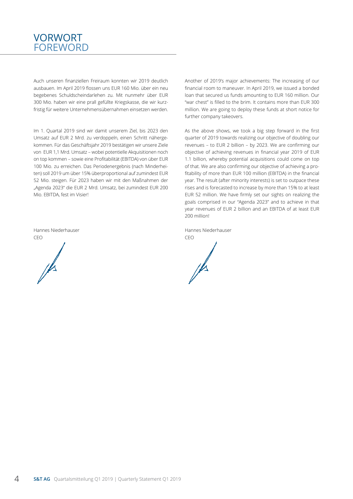### FOREWORD VORWORT

Auch unseren finanziellen Freiraum konnten wir 2019 deutlich ausbauen. Im April 2019 flossen uns EUR 160 Mio. über ein neu begebenes Schuldscheindarlehen zu. Mit nunmehr über EUR 300 Mio. haben wir eine prall gefüllte Kriegskasse, die wir kurzfristig für weitere Unternehmensübernahmen einsetzen werden.

Im 1. Quartal 2019 sind wir damit unserem Ziel, bis 2023 den Umsatz auf EUR 2 Mrd. zu verdoppeln, einen Schritt nähergekommen. Für das Geschäftsjahr 2019 bestätigen wir unsere Ziele von EUR 1,1 Mrd. Umsatz – wobei potentielle Akquisitionen noch on top kommen – sowie eine Profitabilität (EBITDA) von über EUR 100 Mio. zu erreichen. Das Periodenergebnis (nach Minderheiten) soll 2019 um über 15% überproportional auf zumindest EUR 52 Mio. steigen. Für 2023 haben wir mit den Maßnahmen der "Agenda 2023" die EUR 2 Mrd. Umsatz, bei zumindest EUR 200 Mio. EBITDA, fest im Visier!

Hannes Niederhauser CEO

Another of 2019's major achievements: The increasing of our financial room to maneuver. In April 2019, we issued a bonded loan that secured us funds amounting to EUR 160 million. Our "war chest" is filled to the brim. It contains more than EUR 300 million. We are going to deploy these funds at short notice for further company takeovers.

As the above shows, we took a big step forward in the first quarter of 2019 towards realizing our objective of doubling our revenues – to EUR 2 billion – by 2023. We are confirming our objective of achieving revenues in financial year 2019 of EUR 1.1 billion, whereby potential acquisitions could come on top of that. We are also confirming our objective of achieving a profitability of more than EUR 100 million (EBITDA) in the financial year. The result (after minority interests) is set to outpace these rises and is forecasted to increase by more than 15% to at least EUR 52 million. We have firmly set our sights on realizing the goals comprised in our "Agenda 2023" and to achieve in that year revenues of EUR 2 billion and an EBITDA of at least EUR 200 million!

Hannes Niederhauser

CEO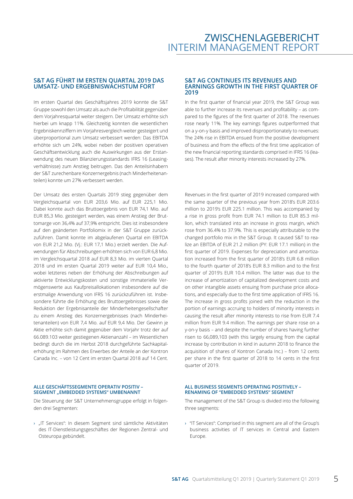#### **S&T AG FÜHRT IM ERSTEN QUARTAL 2019 DAS UMSATZ- UND ERGEBNISWACHSTUM FORT**

Im ersten Quartal des Geschäftsjahres 2019 konnte die S&T Gruppe sowohl den Umsatz als auch die Profitabilität gegenüber dem Vorjahresquartal weiter steigern. Der Umsatz erhöhte sich hierbei um knapp 11%. Gleichzeitig konnten die wesentlichen Ergebniskennziffern im Vorjahresvergleich weiter gesteigert und überproportional zum Umsatz verbessert werden: Das EBITDA erhöhte sich um 24%, wobei neben der positiven operativen Geschäftsentwicklung auch die Auswirkungen aus der Erstanwendung des neuen Bilanzierungsstandards IFRS 16 (Leasingverhältnisse) zum Anstieg beitrugen. Das den Anteilsinhabern der S&T zurechenbare Konzernergebnis (nach Minderheitenanteilen) konnte um 27% verbessert werden.

Der Umsatz des ersten Quartals 2019 stieg gegenüber dem Vergleichsquartal von EUR 203,6 Mio. auf EUR 225,1 Mio. Dabei konnte auch das Bruttoergebnis von EUR 74,1 Mio. auf EUR 85,3 Mio. gesteigert werden, was einem Anstieg der Bruttomarge von 36,4% auf 37,9% entspricht. Dies ist insbesondere auf den geänderten Portfoliomix in der S&T Gruppe zurückzuführen. Damit konnte im abgelaufenen Quartal ein EBITDA von EUR 21,2 Mio. (Vj.: EUR 17,1 Mio.) erzielt werden. Die Aufwendungen für Abschreibungen erhöhten sich von EUR 6,8 Mio. im Vergleichsquartal 2018 auf EUR 8,3 Mio. im vierten Quartal 2018 und im ersten Quartal 2019 weiter auf EUR 10,4 Mio., wobei letzteres neben der Erhöhung der Abschreibungen auf aktivierte Entwicklungskosten und sonstige immaterielle Vermögenswerte aus Kaufpreisallokationen insbesondere auf die erstmalige Anwendung von IFRS 16 zurückzuführen ist. Insbesondere führte die Erhöhung des Bruttoergebnisses sowie die Reduktion der Ergebnisanteile der Minderheitengesellschafter zu einem Anstieg des Konzernergebnisses (nach Minderheitenanteilen) von EUR 7,4 Mio. auf EUR 9,4 Mio. Der Gewinn je Aktie erhöhte sich damit gegenüber dem Vorjahr trotz der auf 66.089.103 weiter gestiegenen Aktienanzahl – im Wesentlichen bedingt durch die im Herbst 2018 durchgeführte Sachkapitalerhöhung im Rahmen des Erwerbes der Anteile an der Kontron Canada Inc. – von 12 Cent im ersten Quartal 2018 auf 14 Cent.

#### **ALLE GESCHÄFTSSEGMENTE OPERATIV POSITIV – SEGMENT** "EMBEDDED SYSTEMS" UMBENANNT

Die Steuerung der S&T Unternehmensgruppe erfolgt in folgenden drei Segmenten:

› "IT Services": In diesem Segment sind sämtliche Aktivitäten des IT-Dienstleistungsgeschäftes der Regionen Zentral- und Osteuropa gebündelt.

#### **S&T AG CONTINUES ITS REVENUES AND EARNINGS GROWTH IN THE FIRST QUARTER OF 2019**

In the first quarter of financial year 2019, the S&T Group was able to further increase its revenues and profitability – as compared to the figures of the first quarter of 2018. The revenues rose nearly 11%. The key earnings figures outperformed that on a y-on-y basis and improved disproportionately to revenues: The 24% rise in EBITDA ensued from the positive development of business and from the effects of the first time application of the new financial reporting standards comprised in IFRS 16 (leases). The result after minority interests increased by 27%.

Revenues in the first quarter of 2019 increased compared with the same quarter of the previous year from 2018's EUR 203.6 million to 2019's EUR 225.1 million. This was accompanied by a rise in gross profit from EUR 74.1 million to EUR 85.3 million, which translated into an increase in gross margin, which rose from 36.4% to 37.9%. This is especially attributable to the changed portfolio mix in the S&T Group. It caused S&T to realize an EBITDA of EUR 21.2 million (PY: EUR 17.1 million) in the first quarter of 2019. Expenses for depreciation and amortization increased from the first quarter of 2018's EUR 6.8 million to the fourth quarter of 2018's EUR 8.3 million and to the first quarter of 2019's EUR 10.4 million. The latter was due to the increase of amortization of capitalized development costs and on other intangible assets ensuing from purchase price allocations, and especially due to the first time application of IFRS 16. The increase in gross profits joined with the reduction in the portion of earnings accruing to holders of minority interests in causing the result after minority interests to rise from EUR 7.4 million from EUR 9.4 million. The earnings per share rose on a y-on-y basis – and despite the number of shares having further risen to 66,089,103 (with this largely ensuing from the capital increase by contribution in kind in autumn 2018 to finance the acquisition of shares of Kontron Canada Inc.) – from 12 cents per share in the first quarter of 2018 to 14 cents in the first quarter of 2019.

#### **ALL BUSINESS SEGMENTS OPERATING POSITIVELY – RENAMING OF "EMBEDDED SYSTEMS" SEGMENT**

The management of the S&T Group is divided into the following three segments:

› "IT Services": Comprised in this segment are all of the Group's business activities of IT services in Central and Eastern Europe.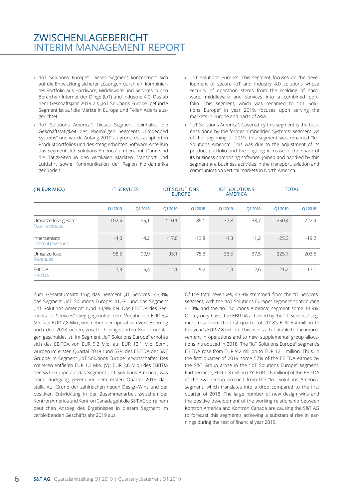### ZWISCHENLAGEBERICHT INTERIM MANAGEMENT REPORT

- › "IoT Solutions Europe": Dieses Segment konzentriert sich auf die Entwicklung sicherer Lösungen durch ein kombiniertes Portfolio aus Hardware, Middleware und Services in den Bereichen Internet der Dinge (IoT) und Industrie 4.0. Das ab dem Geschäftsjahr 2019 als "IoT Solutions Europe" geführte Segment ist auf die Märkte in Europa und Teilen Asiens ausgerichtet.
- › "IoT Solutions America": Dieses Segment beinhaltet die Geschäftstätigkeit des ehemaligen Segments "Embedded Systems" und wurde Anfang 2019 aufgrund des adaptierten Produktportfolios und des stetig erhöhten Software-Anteils in das Segment "IoT Solutions America" umbenannt. Darin sind die Tätigkeiten in den vertikalen Märkten Transport und Luftfahrt sowie Kommunikation der Region Nordamerika gebündelt.
- › "IoT Solutions Europe": This segment focuses on the development of secure IoT and Industry 4.0 solutions whose security of operation stems from the melding of hardware, middleware and services into a combined portfolio. This segment, which was renamed to "IoT Solutions Europe" in year 2019, focuses upon serving the markets in Europe and parts of Asia.
- › "IoT Solutions America": Covered by this segment is the business done by the former "Embedded Systems" segment. As of the beginning of 2019, this segment was renamed "IoT Solutions America". This was due to the adjustment of its product portfolio and the ongoing increase in the share of its business comprising software. Joined and handled by this segment are business activities in the transport, aviation and communication vertical markets in North America.

| (IN EUR MIO.)                                | <b>IT SERVICES</b> |         |         | <b>IOT SOLUTIONS</b><br><b>EUROPE</b> |         | <b>IOT SOLUTIONS</b><br><b>AMERICA</b> |         | <b>TOTAL</b> |
|----------------------------------------------|--------------------|---------|---------|---------------------------------------|---------|----------------------------------------|---------|--------------|
|                                              | Q1 2019            | Q1 2018 | Q1 2019 | Q1 2018                               | Q1 2019 | Q1 2018                                | Q1 2019 | Q1 2018      |
| Umsatzerlöse gesamt<br><b>Total revenues</b> | 102,5              | 95,1    | 110,1   | 89,1                                  | 37,8    | 38,7                                   | 250,4   | 222,9        |
| Innenumsatz<br>Internal revenues             | $-4,0$             | $-4,2$  | $-17,0$ | $-13,8$                               | $-4,3$  | $-1,2$                                 | $-25,3$ | $-19,2$      |
| Umsatzerlöse<br>Revenues                     | 98,5               | 90,9    | 93,1    | 75,3                                  | 33,5    | 37,5                                   | 225,1   | 203,6        |
| <b>EBITDA</b><br><b>EBITDA</b>               | 7,8                | 5,4     | 12,1    | 9,2                                   | 1,3     | 2,6                                    | 21,2    | 17,1         |

Zum Gesamtumsatz trug das Segment "IT Services" 43,8%, das Segment "IoT Solutions Europe" 41,3% und das Segment "IoT Solutions America" rund 14,9% bei. Das EBITDA des Segments "IT Services" stieg gegenüber dem Vorjahr von EUR 5,4 Mio. auf EUR 7,8 Mio., was neben der operativen Verbesserung auch den 2018 neuen, zusätzlich eingeführten Konzernumlagen geschuldet ist. Im Segment "IoT Solutions Europe" erhöhte sich das EBITDA von EUR 9,2 Mio. auf EUR 12,1 Mio. Somit wurden im ersten Quartal 2019 rund 57% des EBITDA der S&T Gruppe im Segment "IoT Solutions Europe" erwirtschaftet. Des Weiteren entfielen EUR 1,3 Mio. (Vj.: EUR 2,6 Mio.) des EBITDA der S&T Gruppe auf das Segment "IoT Solutions America", was einen Rückgang gegenüber dem ersten Quartal 2018 darstellt. Auf Grund der zahlreichen neuen Design-Wins und der positiven Entwicklung in der Zusammenarbeit zwischen der Kontron America und Kontron Canada geht die S&T AG von einem deutlichen Anstieg des Ergebnisses in diesem Segment im verbleibenden Geschäftsjahr 2019 aus.

Of the total revenues, 43.8% stemmed from the "IT Services" segment, with the "IoT Solutions Europe" segment contributing 41.3%, and the "IoT Solutions America" segment some 14.9%. On a y-on-y basis, the EBITDA achieved by the "IT Services" segment rose from the first quarter of 2018's EUR 5.4 million to this year's EUR 7.8 million. This rise is attributable to the improvement in operations and to new, supplemental group allocations introduced in 2018. The "IoT Solutions Europe" segment's EBITDA rose from EUR 9.2 million to EUR 12.1 million. Thus, in the first quarter of 2019 some 57% of the EBITDA earned by the S&T Group arose in the "IoT Solutions Europe" segment. Furthermore, EUR 1.3 million (PY: EUR 2.6 million) of the EBITDA of the S&T Group accrued from the "IoT Solutions America" segment, which translates into a drop compared to the first quarter of 2018. The large number of new design wins and the positive development of the working relationship between Kontron America and Kontron Canada are causing the S&T AG to forecast this segment's achieving a substantial rise in earnings during the rest of financial year 2019.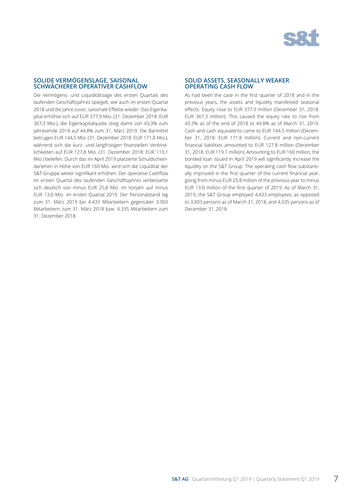

#### **SOLIDE VERMÖGENSLAGE, SAISONAL SCHWÄCHERER OPERATIVER CASHFLOW**

Die Vermögens- und Liquiditätslage des ersten Quartals des laufenden Geschäftsjahres spiegelt, wie auch im ersten Quartal 2018 und die Jahre zuvor, saisonale Effekte wieder: Das Eigenkapital erhöhte sich auf EUR 377,9 Mio. (31. Dezember 2018: EUR 367,3 Mio.), die Eigenkapitalquote stieg damit von 43,3% zum Jahresende 2018 auf 44,8% zum 31. März 2019. Die Barmittel betrugen EUR 144,5 Mio. (31. Dezember 2018: EUR 171,8 Mio.), während sich die kurz- und langfristigen finanziellen Verbindlichkeiten auf EUR 127,8 Mio. (31. Dezember 2018: EUR 119,1 Mio.) beliefen. Durch das im April 2019 platzierte Schuldscheindarlehen in Höhe von EUR 160 Mio. wird sich die Liquidität der S&T Gruppe weiter signifikant erhöhen. Der operative Cashflow im ersten Quartal des laufenden Geschäftsjahres verbesserte sich deutlich von minus EUR 25,8 Mio. im Vorjahr auf minus EUR 13,0 Mio. im ersten Quartal 2019. Der Personalstand lag zum 31. März 2019 bei 4.433 Mitarbeitern gegenüber 3.903 Mitarbeitern zum 31. März 2018 bzw. 4.335 Mitarbeitern zum 31. Dezember 2018.

#### **SOLID ASSETS, SEASONALLY WEAKER OPERATING CASH FLOW**

As had been the case in the first quarter of 2018 and in the previous years, the assets and liquidity manifested seasonal effects. Equity rose to EUR 377.9 million (December 31, 2018: EUR 367.3 million). This caused the equity rate to rise from 43.3% as of the end of 2018 to 44.8% as of March 31, 2019. Cash and cash equivalents came to EUR 144.5 million (December 31, 2018: EUR 171.8 million). Current and non-current financial liabilities amounted to EUR 127.8 million (December 31, 2018: EUR 119.1 million). Amounting to EUR 160 million, the bonded loan issued in April 2019 will significantly increase the liquidity on the S&T Group. The operating cash flow substantially improved in the first quarter of the current financial year, going from minus EUR 25.8 million of the previous year to minus EUR 13.0 million of the first quarter of 2019. As of March 31, 2019, the S&T Group employed 4,433 employees, as opposed to 3,903 persons as of March 31, 2018, and 4,335 persons as of December 31, 2018.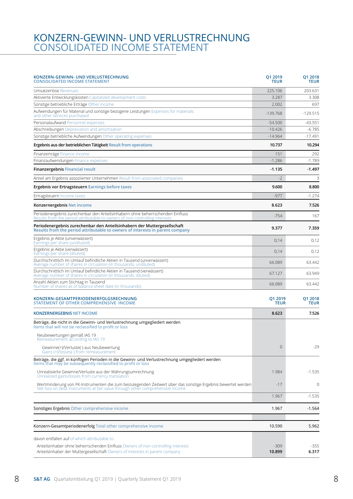### CONSOLIDATED INCOME STATEMENT KONZERN-GEWINN- UND VERLUSTRECHNUNG

| KONZERN-GEWINN- UND VERLUSTRECHNUNG<br><b>CONSOLIDATED INCOME STATEMENT</b>                                                                                                                  | Q1 2019<br>TEUR        | Q1 2018<br><b>TEUR</b> |
|----------------------------------------------------------------------------------------------------------------------------------------------------------------------------------------------|------------------------|------------------------|
| Umsatzerlöse Revenues                                                                                                                                                                        | 225.106                | 203.631                |
| Aktivierte Entwicklungskosten Capitalized development costs                                                                                                                                  | 3.287                  | 3.308                  |
| Sonstige betriebliche Erträge Other income                                                                                                                                                   | 2.002                  | 697                    |
| Aufwendungen für Material und sonstige bezogene Leistungen Expenses for materials<br>and other services purchased                                                                            | $-139.768$             | $-129.515$             |
| Personalaufwand Personnel expenses                                                                                                                                                           | $-54.500$              | $-43.551$              |
| Abschreibungen Depreciation and amortization                                                                                                                                                 | $-10.426$              | $-6.785$               |
| Sonstige betriebliche Aufwendungen Other operating expenses                                                                                                                                  | $-14.964$              | -17.491                |
| Ergebnis aus der betrieblichen Tätigkeit Result from operations                                                                                                                              | 10.737                 | 10.294                 |
| Finanzerträge Finance income                                                                                                                                                                 | 151                    | 292                    |
| Finanzaufwendungen Finance expenses                                                                                                                                                          | $-1.286$               | $-1.789$               |
| <b>Finanzergebnis Financial result</b>                                                                                                                                                       | $-1.135$               | $-1.497$               |
| Anteil am Ergebnis assoziierter Unternehmen Result from associated companies                                                                                                                 | $-2$                   | 3                      |
| <b>Ergebnis vor Ertragsteuern Earnings before taxes</b>                                                                                                                                      | 9.600                  | 8.800                  |
| Ertragsteuern Income taxes                                                                                                                                                                   | $-977$                 | $-1.274$               |
| Konzernergebnis Net income                                                                                                                                                                   | 8.623                  | 7.526                  |
| Periodenergebnis zurechenbar den Anteilsinhabern ohne beherrschenden Einfluss<br>Results from the period attributable to owners of non-controlling interests                                 | $-754$                 | 167                    |
| Periodenergebnis zurechenbar den Anteilsinhabern der Muttergesellschaft<br>Results from the period attributable to owners of interests in parent company                                     | 9.377                  | 7.359                  |
| Ergebnis je Aktie (unverwässert)<br>Earnings per share (undiluted)                                                                                                                           | 0,14                   | 0,12                   |
| Ergebnis je Aktie (verwässert)<br>Earnings per share (diluted)                                                                                                                               | 0,14                   | 0,12                   |
| Durchschnittlich im Umlauf befindliche Aktien in Tausend (unverwässert)<br>Average number of shares in circulation (in thousands, undiluted)                                                 | 66.089                 | 63.442                 |
| Durchschnittlich im Umlauf befindliche Aktien in Tausend (verwässert)<br>Average number of shares in circulation (in thousands, diluted)                                                     | 67.127                 | 63.949                 |
| Anzahl Aktien zum Stichtag in Tausend<br>Number of shares as of balance sheet date (in thousands)                                                                                            | 66.089                 | 63.442                 |
| KONZERN-GESAMTPERIODENERFOLGSRECHNUNG<br>STATEMENT OF OTHER COMPREHENSIVE INCOME                                                                                                             | Q1 2019<br><b>TEUR</b> | Q1 2018<br><b>TEUR</b> |
| <b>KONZERNERGEBNIS NET INCOME</b>                                                                                                                                                            | 8.623                  | 7.526                  |
| Beträge, die nicht in die Gewinn- und Verlustrechnung umgegliedert werden<br>Items that will not be reclassified to profit or loss                                                           |                        |                        |
| Neubewertungen gemäß IAS 19<br>Remeasurement according to IAS 19                                                                                                                             |                        |                        |
| Gewinne(+)/Verluste(-) aus Neubewertung<br>Gains (+)/losses(-) from remeasurement                                                                                                            | $\overline{0}$         | $-29$                  |
| Beträge, die ggf. in künftigen Perioden in die Gewinn- und Verlustrechnung umgegliedert werden<br>Items that may be subsequently reclassified to profit or loss                              |                        |                        |
| Unrealisierte Gewinne/Verluste aus der Währungsumrechnung<br>Unrealized gains/losses from currency translation                                                                               | 1.984                  | $-1.535$               |
| Wertminderung von FK-Instrumenten die zum beizulegenden Zeitwert über das sonstige Ergebnis bewertet werden<br>Net loss on debt Instruments at fair value through other comprehensive income | $-17$                  | $\mathbf 0$            |
|                                                                                                                                                                                              | 1.967                  | $-1.535$               |
| Sonstiges Ergebnis Other comprehensive income                                                                                                                                                | 1.967                  | $-1.564$               |
| Konzern-Gesamtperiodenerfolg Total other comprehensive income                                                                                                                                | 10.590                 | 5.962                  |
| davon entfallen auf of which attributable to                                                                                                                                                 |                        |                        |
| Anteilsinhaber ohne beherrschenden Einfluss Owners of non-controlling interests<br>Anteilsinhaber der Muttergesellschaft Owners of interests in parent company                               | $-309$<br>10.899       | $-355$<br>6.317        |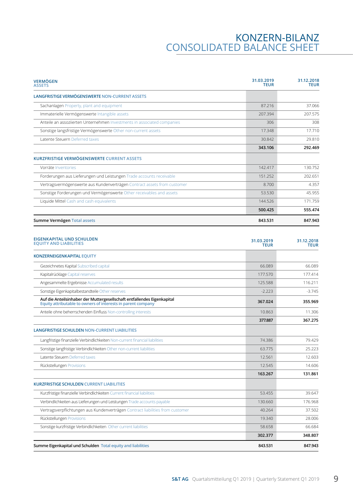## KONZERN-BILANZ CONSOLIDATED BALANCE SHEET

| <b>VERMÖGEN</b><br><b>ASSETS</b>                                                                                                        | 31.03.2019<br><b>TEUR</b> | 31.12.2018<br><b>TEUR</b> |
|-----------------------------------------------------------------------------------------------------------------------------------------|---------------------------|---------------------------|
| <b>LANGFRISTIGE VERMÖGENSWERTE NON-CURRENT ASSETS</b>                                                                                   |                           |                           |
| Sachanlagen Property, plant and equipment                                                                                               | 87.216                    | 37.066                    |
| Immaterielle Vermögenswerte Intangible assets                                                                                           | 207.394                   | 207.575                   |
| Anteile an assoziierten Unternehmen Investments in associated companies                                                                 | 306                       | 308                       |
| Sonstige langsfristige Vermögenswerte Other non-current assets                                                                          | 17.348                    | 17.710                    |
| Latente Steuern Deferred taxes                                                                                                          | 30.842                    | 29.810                    |
|                                                                                                                                         | 343.106                   | 292.469                   |
| KURZFRISTIGE VERMÖGENSWERTE CURRENT ASSETS                                                                                              |                           |                           |
| Vorräte Inventories                                                                                                                     | 142,417                   | 130.752                   |
| Forderungen aus Lieferungen und Leistungen Trade accounts receivable                                                                    | 151.252                   | 202.651                   |
| Vertragsvermögenswerte aus Kundenverträgen Contract assets from customer                                                                | 8.700                     | 4.357                     |
| Sonstige Forderungen und Vermögenswerte Other receivables and assets                                                                    | 53.530                    | 45.955                    |
| Liquide Mittel Cash and cash equivalents                                                                                                | 144.526                   | 171.759                   |
|                                                                                                                                         | 500.425                   | 555.474                   |
| Summe Vermögen Total assets                                                                                                             | 843.531                   | 847.943                   |
|                                                                                                                                         |                           |                           |
| EIGENKAPITAL UND SCHULDEN<br><b>EQUITY AND LIABILITIES</b>                                                                              | 31.03.2019<br><b>TEUR</b> | 31.12.2018<br><b>TEUR</b> |
| <b>KONZERNEIGENKAPITAL EQUITY</b>                                                                                                       |                           |                           |
| Gezeichnetes Kapital Subscribed capital                                                                                                 | 66.089                    | 66.089                    |
| Kapitalrücklage Capital reserves                                                                                                        | 177.570                   | 177.414                   |
| Angesammelte Ergebnisse Accumulated results                                                                                             | 125.588                   | 116.211                   |
| Sonstige Eigenkapitalbestandteile Other reserves                                                                                        | $-2.223$                  | $-3.745$                  |
| Auf die Anteilsinhaber der Muttergesellschaft entfallendes Eigenkapital<br>Equity attributable to owners of interests in parent company | 367.024                   | 355.969                   |
| Anteile ohne beherrschenden Einfluss Non-controlling interests                                                                          | 10.863                    | 11.306                    |
|                                                                                                                                         | 377.887                   | 367.275                   |
| <b>LANGFRISTIGE SCHULDEN NON-CURRENT LIABILITIES</b>                                                                                    |                           |                           |
| Langfristige finanzielle Verbindlichkeiten Non-current financial liabilities                                                            | 74.386                    | 79.429                    |
| Sonstige langfristige Verbindlichkeiten Other non-current liabilities                                                                   | 63.775                    | 25.223                    |
| Latente Steuern Deferred taxes                                                                                                          | 12.561                    | 12.603                    |
| Rückstellungen Provisions                                                                                                               | 12.545                    | 14.606                    |
|                                                                                                                                         | 163.267                   | 131.861                   |
| <b>KURZFRISTIGE SCHULDEN CURRENT LIABILITIES</b>                                                                                        |                           |                           |
| Kurzfristige finanzielle Verbindlichkeiten Current financial liabilities                                                                | 53.455                    | 39.647                    |
| Verbindlichkeiten aus Lieferungen und Leistungen Trade accounts payable                                                                 | 130.660                   | 176.968                   |
| Vertragsverpflichtungen aus Kundenverträgen Contract liabilities from customer                                                          | 40.264                    | 37.502                    |
| Rückstellungen Provisions                                                                                                               | 19.340                    | 28.006                    |
| Sonstige kurzfristige Verbindlichkeiten Other current liabilities                                                                       | 58.658                    | 66.684                    |
|                                                                                                                                         | 302.377                   | 348.807                   |
| Summe Eigenkapital und Schulden Total equity and liabilities                                                                            | 843.531                   | 847.943                   |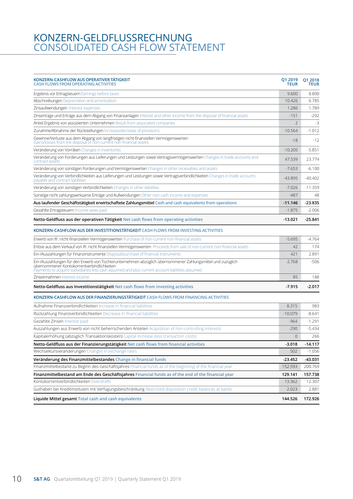### CONSOLIDATED CASH FLOW STATEMENT KONZERN-GELDFLUSSRECHNUNG

| KONZERN-CASHFLOW AUS OPERATIVER TATIGKEIT<br><b>CASH FLOWS FROM OPERATING ACTIVITIES</b>                                                                                                                                                                     | Q1 2019<br>TEUR | 01 2018<br><b>TEUR</b> |
|--------------------------------------------------------------------------------------------------------------------------------------------------------------------------------------------------------------------------------------------------------------|-----------------|------------------------|
| Ergebnis vor Ertragsteuern Earnings before taxes                                                                                                                                                                                                             | 9.600           | 8.800                  |
| Abschreibungen Depreciation and amortization                                                                                                                                                                                                                 | 10.426          | 6.785                  |
| Zinsaufwendungen Interest expenses                                                                                                                                                                                                                           | 1.286           | 1.789                  |
| Zinserträge und Erträge aus dem Abgang von Finanzanlagen Interest and other income from the disposal of financial assets                                                                                                                                     | $-151$          | $-292$                 |
| Anteil Ergebnis von assoziierten Unternehmen Result from associated companies                                                                                                                                                                                | $\overline{2}$  | $-3$                   |
| Zunahme/Abnahme der Rückstellungen Increase/decrease of provisions                                                                                                                                                                                           | $-10.564$       | $-1.012$               |
| Gewinne/Verluste aus dem Abgang von langfristigen nicht-finanziellen Vermögenswerten<br>Gains/losses from the disposal of non-current non-financial assets                                                                                                   | $-18$           | $-12$                  |
| Veränderung von Vorräten Changes in inventories                                                                                                                                                                                                              | $-10.205$       | $-5.851$               |
| Veränderung von Forderungen aus Lieferungen und Leistungen sowie Vertragsvermögenswerten Changes in trade accounts and<br>contract assets                                                                                                                    | 47.539          | 23.774                 |
| Veränderung von sonstigen Forderungen und Vermögenswerten Changes in other receivables and assets                                                                                                                                                            | $-7.653$        | $-6.100$               |
| Veränderung von Verbindlichkeiten aus Lieferungen und Leistungen sowie Vertragsverbindlichkeiten Changes in trade accounts<br>payable and contract liabilities                                                                                               | -43.895         | $-40.402$              |
| Veränderung von sonstigen Verbindlichkeiten Changes in other liabilities                                                                                                                                                                                     | $-7.026$        | $-11.359$              |
| Sonstige nicht zahlungswirksame Erträge und Aufwendungen Other non-cash income and expenses                                                                                                                                                                  | $-487$          | 48                     |
| Aus laufender Geschäftstätigkeit erwirtschaftete Zahlungsmittel Cash and cash equivalents from operations                                                                                                                                                    | $-11.146$       | $-23.835$              |
| Gezahlte Ertragsteuern Income taxes paid                                                                                                                                                                                                                     | $-1.875$        | $-2.006$               |
| Netto-Geldfluss aus der operativen Tätigkeit Net cash flows from operating activities                                                                                                                                                                        | $-13.021$       | $-25.841$              |
| KONZERN-CASHFLOW AUS DER INVESTITIONSTÄTIGKEIT CASH FLOWS FROM INVESTING ACTIVITIES                                                                                                                                                                          |                 |                        |
| Erwerb von Ifr. nicht-finanziellen Vermögenswerten Purchase of non-current non-financial assets                                                                                                                                                              | $-5.695$        | $-4.764$               |
| Erlöse aus dem Verkauf von Ifr. nicht-finanziellen Vermögenswerten Proceeds from sale of non-current non-financial assets                                                                                                                                    | 42              | 174                    |
| Ein-/Auszahlungen für Finanzinstrumente Disposal/purchase of financial instruments                                                                                                                                                                           | 421             | 2.891                  |
| Ein-/Auszahlungen für den Erwerb von Tochterunternehmen abzüglich übernommener Zahlungsmittel und zuzüglich<br>übernommener Kontokorrentverbindlichkeiten<br>Payments to acquire subsidiaries less cash assumed and plus current account liabilities assumed | $-2.768$        | $-506$                 |
| Zinseinnahmen Interest income                                                                                                                                                                                                                                | 85              | 188                    |
| Netto-Geldfluss aus Investitionstätigkeit Net cash flows from investing activities                                                                                                                                                                           | $-7.915$        | $-2.017$               |
| KONZERN-CASHFLOW AUS DER FINANZIERUNGSTÄTIGKEIT CASH FLOWS FROM FINANCING ACTIVITIES                                                                                                                                                                         |                 |                        |
| Aufnahme Finanzverbindlichkeiten Increase in financial liabilities                                                                                                                                                                                           | 8.315           | 983                    |
| Rückzahlung Finanzverbindlichkeiten Decrease in financial liabilities                                                                                                                                                                                        | $-10.079$       | $-8.641$               |
| Gezahlte Zinsen Interest paid                                                                                                                                                                                                                                | $-964$          | $-1.291$               |
| Auszahlungen aus Erwerb von nicht beherrschenden Anteilen Acquisition of non-controlling interests                                                                                                                                                           | $-290$          | $-5.434$               |
| Kapitalerhöhung (abzüglich Transaktionskosten) Capital increase (less transaction costs)                                                                                                                                                                     | $\mathbf{0}$    | 266                    |
| Netto-Geldfluss aus der Finanzierungstätigkeit Net cash flows from financial activities                                                                                                                                                                      | $-3.018$        | $-14.117$              |
| Wechselkursveränderungen Changes in exchange rates                                                                                                                                                                                                           | 502             | $-1.056$               |
| Veränderung des Finanzmittelbestandes Change in financial funds                                                                                                                                                                                              | $-23.452$       | -43.031                |
| Finanzmittelbestand zu Beginn des Geschäftsjahres Financial funds as of the beginning of the financial year                                                                                                                                                  | 152.593         | 200.769                |
| Finanzmittelbestand am Ende des Geschäftsjahres Financial funds as of the end of the financial year                                                                                                                                                          | 129.141         | 157.738                |
| Kontokorrentverbindlichkeiten Overdrafts                                                                                                                                                                                                                     | 13.362          | 12.307                 |
| Guthaben bei Kreditinstituten mit Verfügungsbeschränkung Restricted-disposition credit balances at banks                                                                                                                                                     | 2.023           | 2.881                  |
| Liquide Mittel gesamt Total cash and cash equivalents                                                                                                                                                                                                        | 144.526         | 172.926                |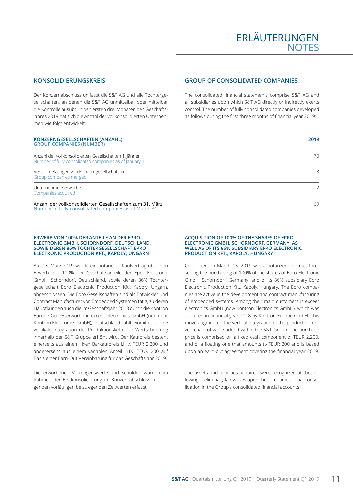### **KONSOLIDIERUNGSKREIS**

Der Konzernabschluss umfasst die S&T AG und alle Tochtergesellschaften, an denen die S&T AG unmittelbar oder mittelbar die Kontrolle ausübt. In den ersten drei Monaten des Geschäftsjahres 2019 hat sich die Anzahl der vollkonsolidierten Unternehmen wie folgt entwickelt:

### **GROUP OF CONSOLIDATED COMPANIES**

The consolidated financial statements comprise S&T AG and all subsidiaries upon which S&T AG directly or indirectly exerts control. The number of fully consolidated companies developed as follows during the first three months of financial year 2019:

| <b>KONZERNGESELLSCHAFTEN (ANZAHL)</b><br><b>GROUP COMPANIES (NUMBER)</b>                                           | 2019 |
|--------------------------------------------------------------------------------------------------------------------|------|
| Anzahl der vollkonsolidierten Gesellschaften 1. Jänner<br>Number of fully-consolidated companies as of January 1   | 70   |
| Verschmelzungen von Konzerngesellschaften<br>Group companies merged                                                | $-3$ |
| Unternehmenserwerbe<br>Companies acquired                                                                          | 2    |
| Anzahl der vollkonsolidierten Gesellschaften zum 31. März<br>Number of fully-consolidated companies as of March 31 | 69   |

#### **ERWERB VON 100% DER ANTEILE AN DER EPRO ELECTRONIC GMBH, SCHORNDORF, DEUTSCHLAND, SOWIE DEREN 86% TOCHTERGESELLSCHAFT EPRO ELECTRONIC PRODUCTION KFT., KAPOLY, UNGARN**

Am 13. März 2019 wurde ein notarieller Kaufvertrag über den Erwerb von 100% der Geschäftsanteile der Epro Electronic GmbH, Schorndorf, Deutschland, sowie deren 86% Tochtergesellschaft Epro Electronic Production Kft., Kapoly, Ungarn, abgeschlossen. Die Epro Gesellschaften sind als Entwickler und Contract Manufacturer von Embedded Systemen tätig, zu deren Hauptkunden auch die im Geschäftsjahr 2018 durch die Kontron Europe GmbH erworbene exceet electronics GmbH (nunmehr Kontron Electronics GmbH), Deutschland zählt, womit durch die vertikale Integration der Produktionskette die Wertschöpfung innerhalb der S&T Gruppe erhöht wird. Der Kaufpreis besteht einerseits aus einem fixen Barkaufpreis i.H.v. TEUR 2.200 und andererseits aus einem variablen Anteil i.H.v. TEUR 200 auf Basis einer Earn-Out Vereinbarung für das Geschäftsjahr 2019.

Die erworbenen Vermögenswerte und Schulden wurden im Rahmen der Erstkonsolidierung im Konzernabschluss mit folgenden vorläufigen beizulegenden Zeitwerten erfasst:

#### **ACQUISITION OF 100% OF THE SHARES OF EPRO ELECTRONIC GMBH, SCHORNDORF, GERMANY, AS WELL AS OF ITS 86% SUBSIDIARY EPRO ELECTRONIC PRODUCTION KFT., KAPOLY, HUNGARY**

Concluded on March 13, 2019 was a notarized contract foreseeing the purchasing of 100% of the shares of Epro Electronic GmbH, Schorndorf, Germany, and of its 86% subsidiary Epro Electronic Production Kft., Kapoly, Hungary. The Epro companies are active in the development and contract manufacturing of embedded systems. Among their main customers is exceet electronics GmbH (now Kontron Electronics GmbH), which was acquired in financial year 2018 by Kontron Europe GmbH. This move augmented the vertical integration of the production-driven chain of value added within the S&T Group. The purchase price is comprised of a fixed cash component of TEUR 2,200, and of a floating one that amounts to TEUR 200 and is based upon an earn-out agreement covering the financial year 2019.

The assets and liabilities acquired were recognized at the following preliminary fair values upon the companies' initial consolidation in the Group's consolidated financial accounts: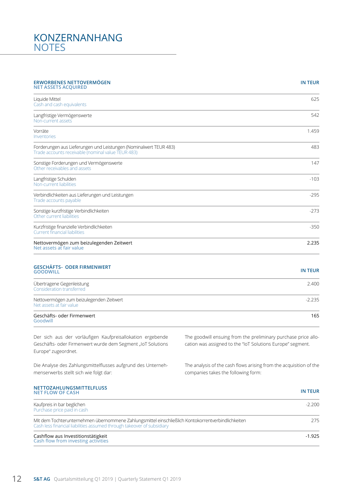### KONZERNANHANG **NOTES**

#### **ERWORBENES NETTOVERMÖGEN NET ASSETS ACQUIRED**

### **IN TEUR**

| Liquide Mittel<br>Cash and cash equivalents                                                                             | 625    |
|-------------------------------------------------------------------------------------------------------------------------|--------|
| Langfristige Vermögenswerte<br>Non-current assets                                                                       | 542    |
| Vorräte<br>Inventories                                                                                                  | 1.459  |
| Forderungen aus Lieferungen und Leistungen (Nominalwert TEUR 483)<br>Trade accounts receivable (nominal value TEUR 483) | 483    |
| Sonstige Forderungen und Vermögenswerte<br>Other receivables and assets                                                 | 147    |
| Langfristige Schulden<br>Non-current liabilities                                                                        | $-103$ |
| Verbindlichkeiten aus Lieferungen und Leistungen<br>Trade accounts payable                                              | $-295$ |
| Sonstige kurzfristige Verbindlichkeiten<br>Other current liabilities                                                    | $-273$ |
| Kurzfristige finanzielle Verbindlichkeiten<br><b>Current financial liabilities</b>                                      | $-350$ |
| Nettovermögen zum beizulegenden Zeitwert<br>Net assets at fair value                                                    | 2.235  |

### **GESCHÄFTS- ODER FIRMENWERT GOODWILL IN TEUR**

| Übertragene Gegenleistung<br>Consideration transferred               | 2.400    |
|----------------------------------------------------------------------|----------|
| Nettovermögen zum beizulegenden Zeitwert<br>Net assets at fair value | $-2.235$ |
| Geschäfts- oder Firmenwert<br>Goodwill                               | 165      |

Der sich aus der vorläufigen Kaufpreisallokation ergebende Geschäfts- oder Firmenwert wurde dem Segment "IoT Solutions Europe" zugeordnet.

Die Analyse des Zahlungsmittelflusses aufgrund des Unternehmenserwerbs stellt sich wie folgt dar:

The goodwill ensuing from the preliminary purchase price allocation was assigned to the "IoT Solutions Europe" segment.

The analysis of the cash flows arising from the acquisition of the companies takes the following form:

| <b>NETTOZAHLUNGSMITTELFLUSS</b><br><b>NET FLOW OF CASH</b>                                                                                                                   | <b>IN TEUR</b> |
|------------------------------------------------------------------------------------------------------------------------------------------------------------------------------|----------------|
| Kaufpreis in bar beglichen<br>Purchase price paid in cash                                                                                                                    | $-2.200$       |
| Mit dem Tochterunternehmen übernommene Zahlungsmittel einschließlich Kontokorrentverbindlichkeiten<br>Cash less financial liabilities assumed through takeover of subsidiary | 275            |
| Cashflow aus Investitionstätigkeit<br>Cash flow from investing activities                                                                                                    | $-1.925$       |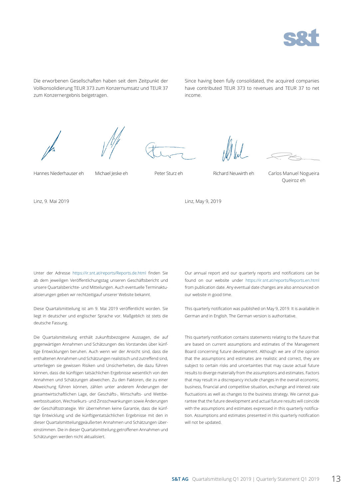

Die erworbenen Gesellschaften haben seit dem Zeitpunkt der Vollkonsolidierung TEUR 373 zum Konzernumsatz und TEUR 37 zum Konzernergebnis beigetragen.

Since having been fully consolidated, the acquired companies have contributed TEUR 373 to revenues and TEUR 37 to net income.







Hannes Niederhauser eh Michael Jeske eh Peter Sturz eh Richard Neuwirth eh Carlos Manuel Nogueira

Queiroz eh

Linz, 9. Mai 2019

Linz, May 9, 2019

Unter der Adresse https://ir.snt.at/reports/Reports.de.html finden Sie ab dem jeweiligen Veröffentlichungstag unseren Geschäftsbericht und unsere Quartalsberichte- und Mitteilungen. Auch eventuelle Terminaktualisierungen geben wir rechtzeitigauf unserer Website bekannt.

Diese Quartalsmitteilung ist am 9. Mai 2019 veröffentlicht worden. Sie liegt in deutscher und englischer Sprache vor. Maßgeblich ist stets die deutsche Fassung.

Die Quartalsmitteilung enthält zukunftsbezogene Aussagen, die auf gegenwärtigen Annahmen und Schätzungen des Vorstandes über künftige Entwicklungen beruhen. Auch wenn wir der Ansicht sind, dass die enthaltenen Annahmen und Schätzungen realistisch und zutreffend sind, unterliegen sie gewissen Risiken und Unsicherheiten, die dazu führen können, dass die künftigen tatsächlichen Ergebnisse wesentlich von den Annahmen und Schätzungen abweichen. Zu den Faktoren, die zu einer Abweichung führen können, zählen unter anderem Änderungen der gesamtwirtschaftlichen Lage, der Geschäfts-, Wirtschafts- und Wettbewerbssituation, Wechselkurs- und Zinsschwankungen sowie Änderungen der Geschäftsstrategie. Wir übernehmen keine Garantie, dass die künftige Entwicklung und die künftigentatsächlichen Ergebnisse mit den in dieser Quartalsmitteilunggeäußerten Annahmen und Schätzungen übereinstimmen. Die in dieser Quartalsmitteilung getroffenen Annahmen und Schätzungen werden nicht aktualisiert.

Our annual report and our quarterly reports and notifications can be found on our website under https://ir.snt.at/reports/Reports.en.html from publication date. Any eventual date changes are also announced on our website in good time.

This quarterly notification was published on May 9, 2019. It is available in German and in English. The German version is authoritative.

This quarterly notification contains statements relating to the future that are based on current assumptions and estimates of the Management Board concerning future development. Although we are of the opinion that the assumptions and estimates are realistic and correct, they are subject to certain risks and uncertainties that may cause actual future results to diverge materially from the assumptions and estimates. Factors that may result in a discrepancy include changes in the overall economic, business, financial and competitive situation, exchange and interest rate fluctuations as well as changes to the business strategy. We cannot guarantee that the future development and actual future results will coincide with the assumptions and estimates expressed in this quarterly notification. Assumptions and estimates presented in this quarterly notification will not be updated.